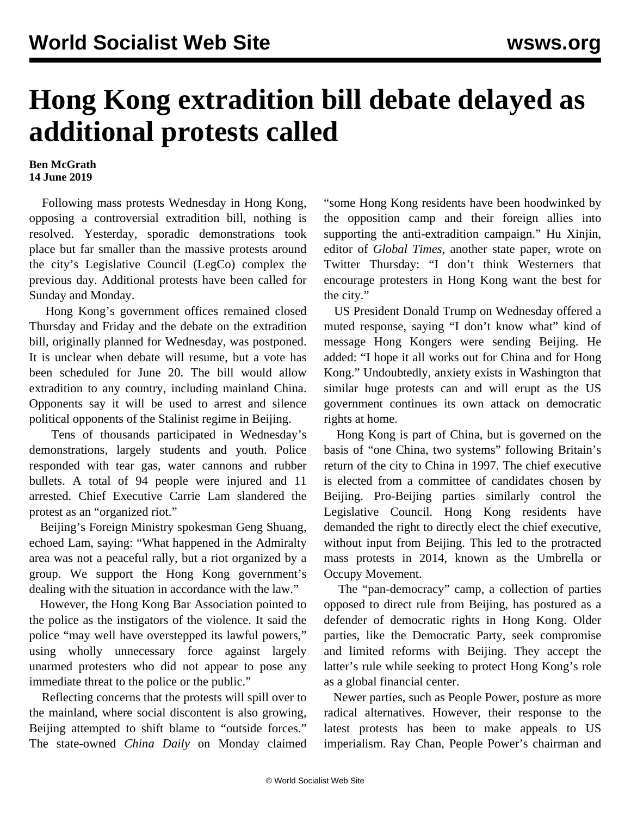## **Hong Kong extradition bill debate delayed as additional protests called**

## **Ben McGrath 14 June 2019**

 Following mass protests Wednesday in Hong Kong, opposing a controversial extradition bill, nothing is resolved. Yesterday, sporadic demonstrations took place but far smaller than the massive protests around the city's Legislative Council (LegCo) complex the previous day. Additional protests have been called for Sunday and Monday.

 Hong Kong's government offices remained closed Thursday and Friday and the debate on the extradition bill, originally planned for Wednesday, was postponed. It is unclear when debate will resume, but a vote has been scheduled for June 20. The bill would allow extradition to any country, including mainland China. Opponents say it will be used to arrest and silence political opponents of the Stalinist regime in Beijing.

 Tens of thousands participated in Wednesday's demonstrations, largely students and youth. Police responded with tear gas, water cannons and rubber bullets. A total of 94 people were injured and 11 arrested. Chief Executive Carrie Lam slandered the protest as an "organized riot."

 Beijing's Foreign Ministry spokesman Geng Shuang, echoed Lam, saying: "What happened in the Admiralty area was not a peaceful rally, but a riot organized by a group. We support the Hong Kong government's dealing with the situation in accordance with the law."

 However, the Hong Kong Bar Association pointed to the police as the instigators of the violence. It said the police "may well have overstepped its lawful powers," using wholly unnecessary force against largely unarmed protesters who did not appear to pose any immediate threat to the police or the public."

 Reflecting concerns that the protests will spill over to the mainland, where social discontent is also growing, Beijing attempted to shift blame to "outside forces." The state-owned *China Daily* on Monday claimed "some Hong Kong residents have been hoodwinked by the opposition camp and their foreign allies into supporting the anti-extradition campaign." Hu Xinjin, editor of *Global Times*, another state paper, wrote on Twitter Thursday: "I don't think Westerners that encourage protesters in Hong Kong want the best for the city."

 US President Donald Trump on Wednesday offered a muted response, saying "I don't know what" kind of message Hong Kongers were sending Beijing. He added: "I hope it all works out for China and for Hong Kong." Undoubtedly, anxiety exists in Washington that similar huge protests can and will erupt as the US government continues its own attack on democratic rights at home.

 Hong Kong is part of China, but is governed on the basis of "one China, two systems" following Britain's return of the city to China in 1997. The chief executive is elected from a committee of candidates chosen by Beijing. Pro-Beijing parties similarly control the Legislative Council. Hong Kong residents have demanded the right to directly elect the chief executive, without input from Beijing. This led to the protracted mass protests in 2014, known as the Umbrella or Occupy Movement.

 The "pan-democracy" camp, a collection of parties opposed to direct rule from Beijing, has postured as a defender of democratic rights in Hong Kong. Older parties, like the Democratic Party, seek compromise and limited reforms with Beijing. They accept the latter's rule while seeking to protect Hong Kong's role as a global financial center.

 Newer parties, such as People Power, posture as more radical alternatives. However, their response to the latest protests has been to make appeals to US imperialism. Ray Chan, People Power's chairman and